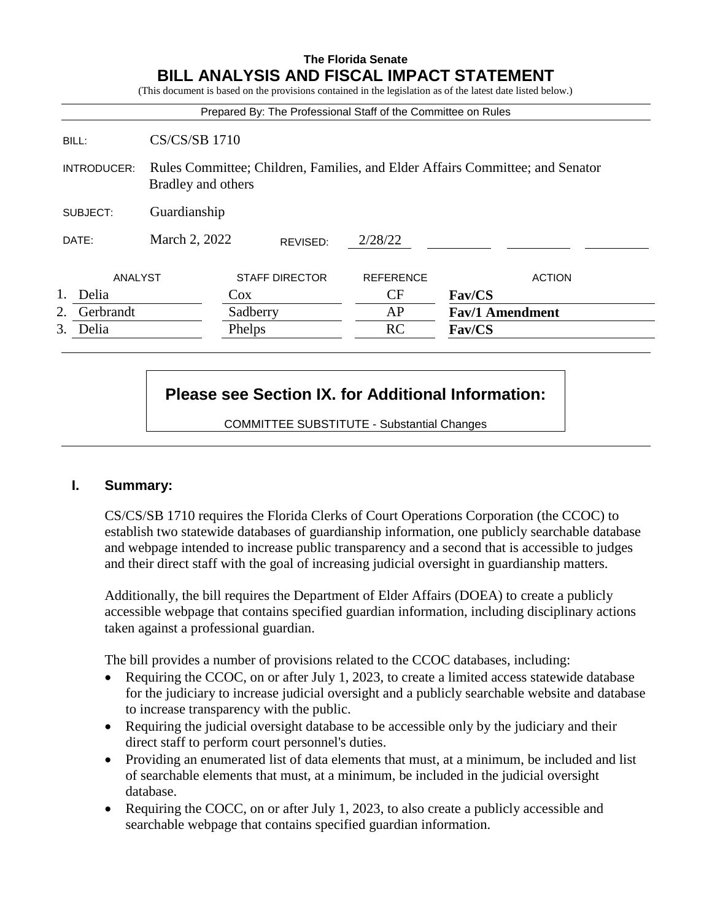# **The Florida Senate BILL ANALYSIS AND FISCAL IMPACT STATEMENT**

(This document is based on the provisions contained in the legislation as of the latest date listed below.)

|                 |                      |                       |          | Prepared By: The Professional Staff of the Committee on Rules                 |                        |               |
|-----------------|----------------------|-----------------------|----------|-------------------------------------------------------------------------------|------------------------|---------------|
| BILL:           | <b>CS/CS/SB 1710</b> |                       |          |                                                                               |                        |               |
| INTRODUCER:     | Bradley and others   |                       |          | Rules Committee; Children, Families, and Elder Affairs Committee; and Senator |                        |               |
| SUBJECT:        | Guardianship         |                       |          |                                                                               |                        |               |
| DATE:           | March 2, 2022        |                       | REVISED: | 2/28/22                                                                       |                        |               |
| ANALYST         |                      | <b>STAFF DIRECTOR</b> |          | <b>REFERENCE</b>                                                              |                        | <b>ACTION</b> |
| Delia           |                      | $\cos$                |          | CF                                                                            | Fav/CS                 |               |
| Gerbrandt<br>2. |                      |                       | Sadberry | AP                                                                            | <b>Fav/1 Amendment</b> |               |
| 3.<br>Delia     |                      | Phelps                |          | <b>RC</b>                                                                     | Fav/CS                 |               |

# **Please see Section IX. for Additional Information:**

COMMITTEE SUBSTITUTE - Substantial Changes

#### **I. Summary:**

CS/CS/SB 1710 requires the Florida Clerks of Court Operations Corporation (the CCOC) to establish two statewide databases of guardianship information, one publicly searchable database and webpage intended to increase public transparency and a second that is accessible to judges and their direct staff with the goal of increasing judicial oversight in guardianship matters.

Additionally, the bill requires the Department of Elder Affairs (DOEA) to create a publicly accessible webpage that contains specified guardian information, including disciplinary actions taken against a professional guardian.

The bill provides a number of provisions related to the CCOC databases, including:

- Requiring the CCOC, on or after July 1, 2023, to create a limited access statewide database for the judiciary to increase judicial oversight and a publicly searchable website and database to increase transparency with the public.
- Requiring the judicial oversight database to be accessible only by the judiciary and their direct staff to perform court personnel's duties.
- Providing an enumerated list of data elements that must, at a minimum, be included and list of searchable elements that must, at a minimum, be included in the judicial oversight database.
- Requiring the COCC, on or after July 1, 2023, to also create a publicly accessible and searchable webpage that contains specified guardian information.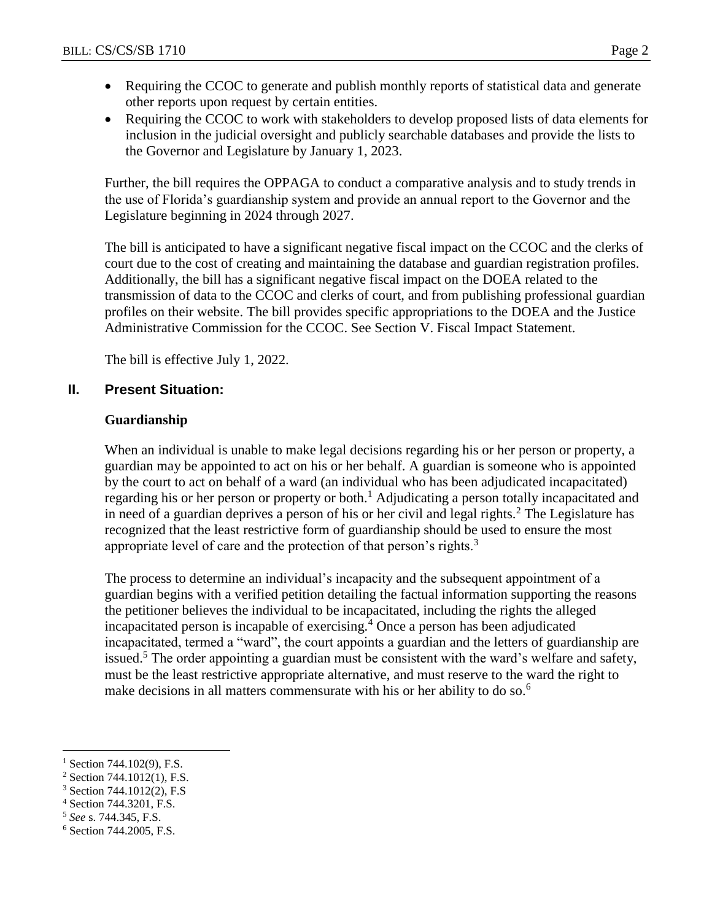- Requiring the CCOC to generate and publish monthly reports of statistical data and generate other reports upon request by certain entities.
- Requiring the CCOC to work with stakeholders to develop proposed lists of data elements for inclusion in the judicial oversight and publicly searchable databases and provide the lists to the Governor and Legislature by January 1, 2023.

Further, the bill requires the OPPAGA to conduct a comparative analysis and to study trends in the use of Florida's guardianship system and provide an annual report to the Governor and the Legislature beginning in 2024 through 2027.

The bill is anticipated to have a significant negative fiscal impact on the CCOC and the clerks of court due to the cost of creating and maintaining the database and guardian registration profiles. Additionally, the bill has a significant negative fiscal impact on the DOEA related to the transmission of data to the CCOC and clerks of court, and from publishing professional guardian profiles on their website. The bill provides specific appropriations to the DOEA and the Justice Administrative Commission for the CCOC. See Section V. Fiscal Impact Statement.

The bill is effective July 1, 2022.

# **II. Present Situation:**

#### **Guardianship**

When an individual is unable to make legal decisions regarding his or her person or property, a guardian may be appointed to act on his or her behalf. A guardian is someone who is appointed by the court to act on behalf of a ward (an individual who has been adjudicated incapacitated) regarding his or her person or property or both.<sup>1</sup> Adjudicating a person totally incapacitated and in need of a guardian deprives a person of his or her civil and legal rights.<sup>2</sup> The Legislature has recognized that the least restrictive form of guardianship should be used to ensure the most appropriate level of care and the protection of that person's rights. $3$ 

The process to determine an individual's incapacity and the subsequent appointment of a guardian begins with a verified petition detailing the factual information supporting the reasons the petitioner believes the individual to be incapacitated, including the rights the alleged incapacitated person is incapable of exercising.<sup>4</sup> Once a person has been adjudicated incapacitated, termed a "ward", the court appoints a guardian and the letters of guardianship are issued.<sup>5</sup> The order appointing a guardian must be consistent with the ward's welfare and safety, must be the least restrictive appropriate alternative, and must reserve to the ward the right to make decisions in all matters commensurate with his or her ability to do so.<sup>6</sup>

 $\overline{a}$ 

 $^{1}$  Section 744.102(9), F.S.

<sup>2</sup> Section 744.1012(1), F.S.

<sup>3</sup> Section 744.1012(2), F.S

<sup>4</sup> Section 744.3201, F.S.

<sup>5</sup> *See* s. 744.345, F.S.

<sup>6</sup> Section 744.2005, F.S.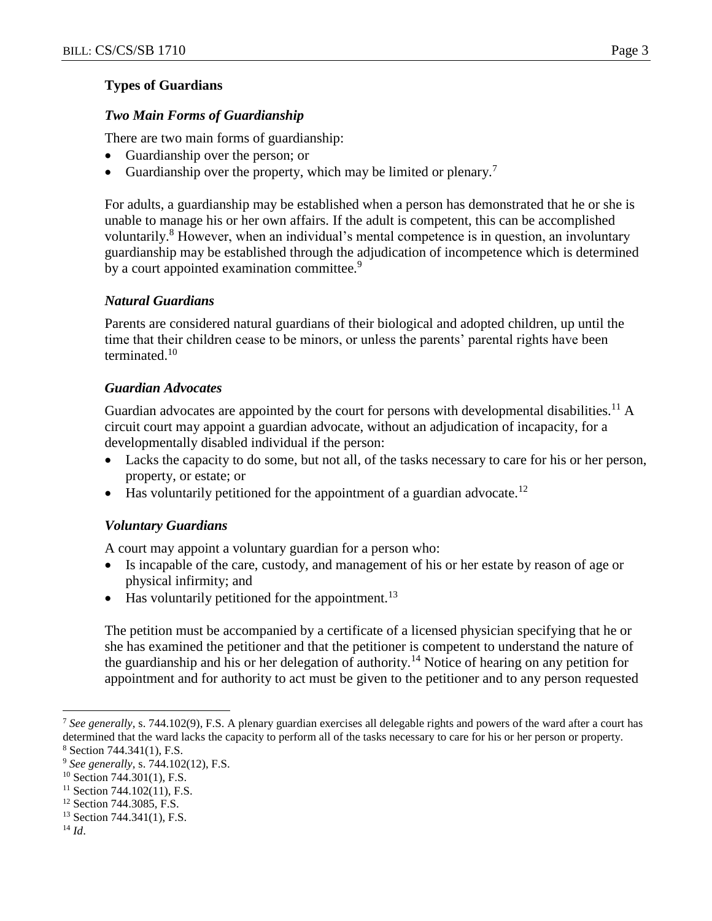#### **Types of Guardians**

#### *Two Main Forms of Guardianship*

There are two main forms of guardianship:

- Guardianship over the person; or
- Guardianship over the property, which may be limited or plenary.<sup>7</sup>

For adults, a guardianship may be established when a person has demonstrated that he or she is unable to manage his or her own affairs. If the adult is competent, this can be accomplished voluntarily.<sup>8</sup> However, when an individual's mental competence is in question, an involuntary guardianship may be established through the adjudication of incompetence which is determined by a court appointed examination committee.<sup>9</sup>

#### *Natural Guardians*

Parents are considered natural guardians of their biological and adopted children, up until the time that their children cease to be minors, or unless the parents' parental rights have been terminated.<sup>10</sup>

#### *Guardian Advocates*

Guardian advocates are appointed by the court for persons with developmental disabilities.<sup>11</sup> A circuit court may appoint a guardian advocate, without an adjudication of incapacity, for a developmentally disabled individual if the person:

- Lacks the capacity to do some, but not all, of the tasks necessary to care for his or her person, property, or estate; or
- $\bullet$  Has voluntarily petitioned for the appointment of a guardian advocate.<sup>12</sup>

#### *Voluntary Guardians*

A court may appoint a voluntary guardian for a person who:

- Is incapable of the care, custody, and management of his or her estate by reason of age or physical infirmity; and
- $\bullet$  Has voluntarily petitioned for the appointment.<sup>13</sup>

The petition must be accompanied by a certificate of a licensed physician specifying that he or she has examined the petitioner and that the petitioner is competent to understand the nature of the guardianship and his or her delegation of authority.<sup>14</sup> Notice of hearing on any petition for appointment and for authority to act must be given to the petitioner and to any person requested

 $\overline{a}$ 

<sup>7</sup> *See generally,* s. 744.102(9), F.S. A plenary guardian exercises all delegable rights and powers of the ward after a court has determined that the ward lacks the capacity to perform all of the tasks necessary to care for his or her person or property.  $8$  Section 744.341(1), F.S.

<sup>9</sup> *See generally,* s. 744.102(12), F.S.

 $10$  Section 744.301(1), F.S.

 $11$  Section 744.102(11), F.S.

<sup>&</sup>lt;sup>12</sup> Section 744.3085, F.S.

<sup>13</sup> Section 744.341(1), F.S.

<sup>14</sup> *Id*.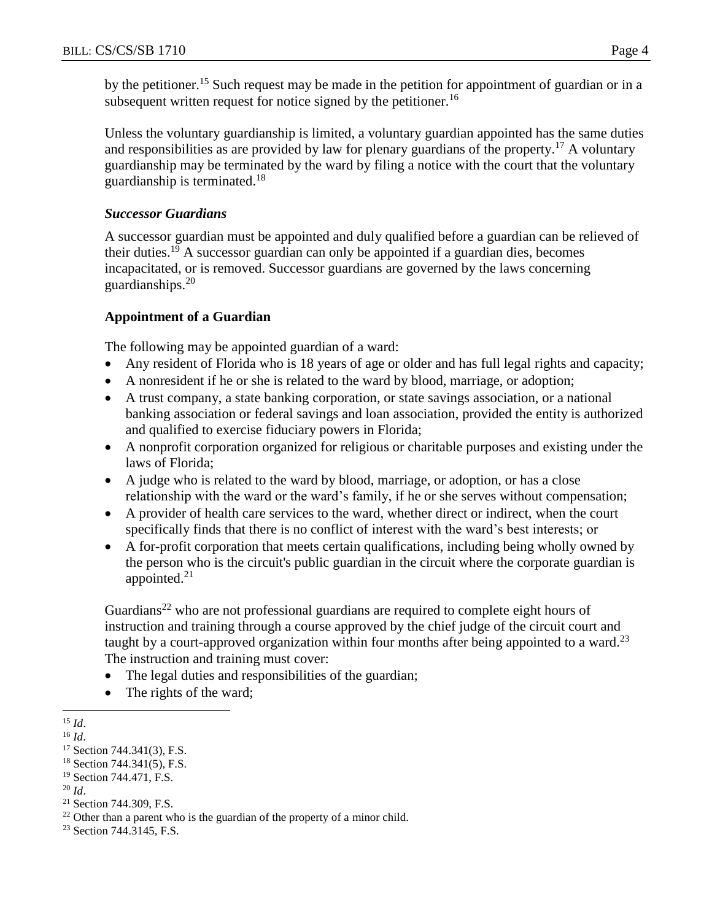by the petitioner.<sup>15</sup> Such request may be made in the petition for appointment of guardian or in a subsequent written request for notice signed by the petitioner.<sup>16</sup>

Unless the voluntary guardianship is limited, a voluntary guardian appointed has the same duties and responsibilities as are provided by law for plenary guardians of the property.<sup>17</sup> A voluntary guardianship may be terminated by the ward by filing a notice with the court that the voluntary guardianship is terminated.<sup>18</sup>

#### *Successor Guardians*

A successor guardian must be appointed and duly qualified before a guardian can be relieved of their duties.<sup>19</sup> A successor guardian can only be appointed if a guardian dies, becomes incapacitated, or is removed. Successor guardians are governed by the laws concerning guardianships. $20$ 

#### **Appointment of a Guardian**

The following may be appointed guardian of a ward:

- Any resident of Florida who is 18 years of age or older and has full legal rights and capacity;
- A nonresident if he or she is related to the ward by blood, marriage, or adoption;
- A trust company, a state banking corporation, or state savings association, or a national banking association or federal savings and loan association, provided the entity is authorized and qualified to exercise fiduciary powers in Florida;
- A nonprofit corporation organized for religious or charitable purposes and existing under the laws of Florida;
- A judge who is related to the ward by blood, marriage, or adoption, or has a close relationship with the ward or the ward's family, if he or she serves without compensation;
- A provider of health care services to the ward, whether direct or indirect, when the court specifically finds that there is no conflict of interest with the ward's best interests; or
- A for-profit corporation that meets certain qualifications, including being wholly owned by the person who is the circuit's public guardian in the circuit where the corporate guardian is appointed. $21$

Guardians<sup>22</sup> who are not professional guardians are required to complete eight hours of instruction and training through a course approved by the chief judge of the circuit court and taught by a court-approved organization within four months after being appointed to a ward.<sup>23</sup> The instruction and training must cover:

- The legal duties and responsibilities of the guardian;
- The rights of the ward;
- $\overline{a}$ <sup>15</sup> *Id*.

<sup>23</sup> Section 744.3145, F.S.

<sup>16</sup> *Id*.

<sup>17</sup> Section 744.341(3), F.S.

 $18$  Section 744.341(5), F.S.

<sup>&</sup>lt;sup>19</sup> Section 744.471, F.S.

<sup>20</sup> *Id*.

<sup>21</sup> Section 744.309, F.S.

<sup>&</sup>lt;sup>22</sup> Other than a parent who is the guardian of the property of a minor child.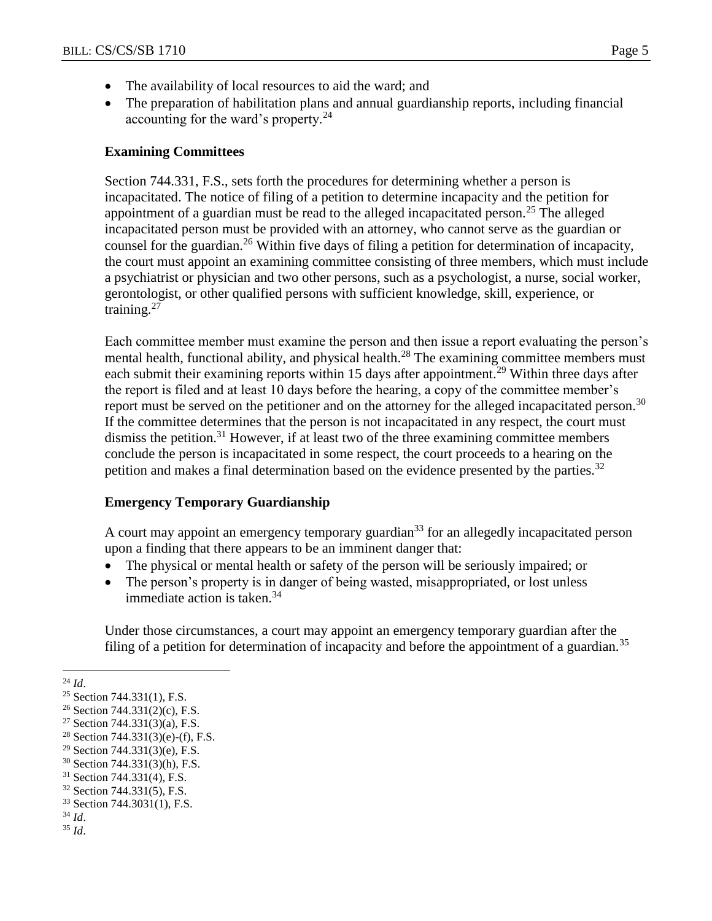- The availability of local resources to aid the ward; and
- The preparation of habilitation plans and annual guardianship reports, including financial accounting for the ward's property. $^{24}$

#### **Examining Committees**

Section 744.331, F.S., sets forth the procedures for determining whether a person is incapacitated. The notice of filing of a petition to determine incapacity and the petition for appointment of a guardian must be read to the alleged incapacitated person.<sup>25</sup> The alleged incapacitated person must be provided with an attorney, who cannot serve as the guardian or counsel for the guardian.<sup>26</sup> Within five days of filing a petition for determination of incapacity, the court must appoint an examining committee consisting of three members, which must include a psychiatrist or physician and two other persons, such as a psychologist, a nurse, social worker, gerontologist, or other qualified persons with sufficient knowledge, skill, experience, or training. $27$ 

Each committee member must examine the person and then issue a report evaluating the person's mental health, functional ability, and physical health.<sup>28</sup> The examining committee members must each submit their examining reports within 15 days after appointment.<sup>29</sup> Within three days after the report is filed and at least 10 days before the hearing, a copy of the committee member's report must be served on the petitioner and on the attorney for the alleged incapacitated person.<sup>30</sup> If the committee determines that the person is not incapacitated in any respect, the court must dismiss the petition.<sup>31</sup> However, if at least two of the three examining committee members conclude the person is incapacitated in some respect, the court proceeds to a hearing on the petition and makes a final determination based on the evidence presented by the parties.<sup>32</sup>

#### **Emergency Temporary Guardianship**

A court may appoint an emergency temporary guardian<sup>33</sup> for an allegedly incapacitated person upon a finding that there appears to be an imminent danger that:

- The physical or mental health or safety of the person will be seriously impaired; or
- The person's property is in danger of being wasted, misappropriated, or lost unless immediate action is taken.<sup>34</sup>

Under those circumstances, a court may appoint an emergency temporary guardian after the filing of a petition for determination of incapacity and before the appointment of a guardian.<sup>35</sup>

 $^{24}$  *Id.* 

 $\overline{a}$ 

<sup>30</sup> Section 744.331(3)(h), F.S.

- <sup>34</sup> *Id*.
- <sup>35</sup> *Id*.

<sup>25</sup> Section 744.331(1), F.S.

<sup>26</sup> Section 744.331(2)(c), F.S.

<sup>27</sup> Section 744.331(3)(a), F.S.

<sup>&</sup>lt;sup>28</sup> Section 744.331(3)(e)-(f), F.S.

 $29$  Section 744.331(3)(e), F.S.

<sup>31</sup> Section 744.331(4), F.S.

<sup>32</sup> Section 744.331(5), F.S.

<sup>33</sup> Section 744.3031(1), F.S.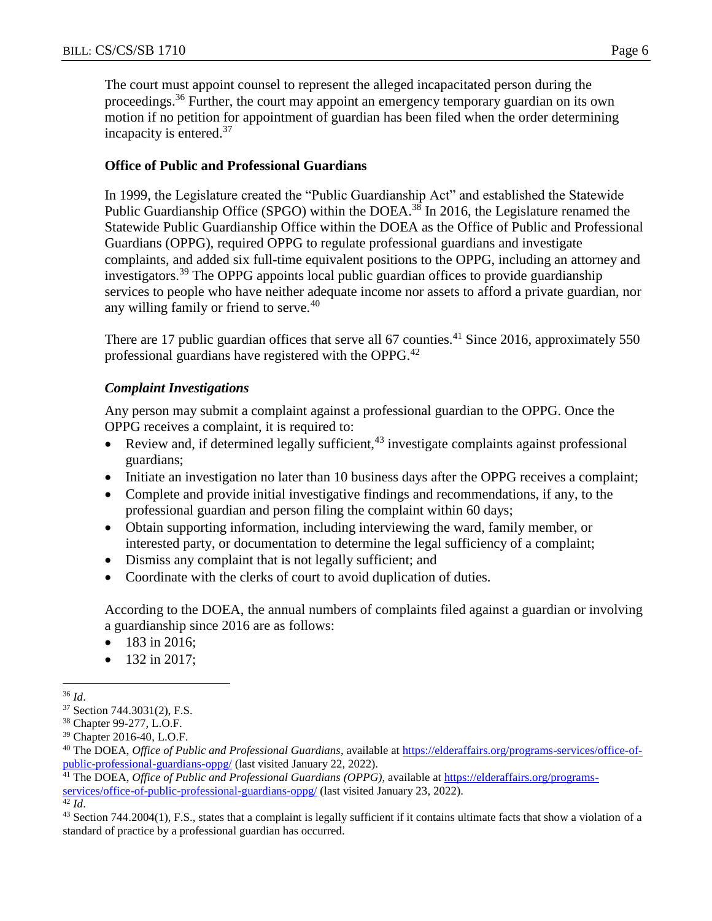The court must appoint counsel to represent the alleged incapacitated person during the proceedings.<sup>36</sup> Further, the court may appoint an emergency temporary guardian on its own motion if no petition for appointment of guardian has been filed when the order determining incapacity is entered.<sup>37</sup>

#### **Office of Public and Professional Guardians**

In 1999, the Legislature created the "Public Guardianship Act" and established the Statewide Public Guardianship Office (SPGO) within the DOEA.<sup>38</sup> In 2016, the Legislature renamed the Statewide Public Guardianship Office within the DOEA as the Office of Public and Professional Guardians (OPPG), required OPPG to regulate professional guardians and investigate complaints, and added six full-time equivalent positions to the OPPG, including an attorney and investigators.<sup>39</sup> The OPPG appoints local public guardian offices to provide guardianship services to people who have neither adequate income nor assets to afford a private guardian, nor any willing family or friend to serve.<sup>40</sup>

There are 17 public guardian offices that serve all 67 counties.<sup>41</sup> Since 2016, approximately 550 professional guardians have registered with the OPPG.<sup>42</sup>

#### *Complaint Investigations*

Any person may submit a complaint against a professional guardian to the OPPG. Once the OPPG receives a complaint, it is required to:

- Review and, if determined legally sufficient,  $43$  investigate complaints against professional guardians;
- Initiate an investigation no later than 10 business days after the OPPG receives a complaint;
- Complete and provide initial investigative findings and recommendations, if any, to the professional guardian and person filing the complaint within 60 days;
- Obtain supporting information, including interviewing the ward, family member, or interested party, or documentation to determine the legal sufficiency of a complaint;
- Dismiss any complaint that is not legally sufficient; and
- Coordinate with the clerks of court to avoid duplication of duties.

According to the DOEA, the annual numbers of complaints filed against a guardian or involving a guardianship since 2016 are as follows:

- 183 in 2016;
- $\bullet$  132 in 2017;

 $\overline{a}$ <sup>36</sup> *Id*.

<sup>37</sup> Section 744.3031(2), F.S.

<sup>38</sup> Chapter 99-277, L.O.F.

<sup>39</sup> Chapter 2016-40, L.O.F.

<sup>40</sup> The DOEA, *Office of Public and Professional Guardians*, available at [https://elderaffairs.org/programs-services/office-of](https://elderaffairs.org/programs-services/office-of-public-professional-guardians-oppg/)[public-professional-guardians-oppg/](https://elderaffairs.org/programs-services/office-of-public-professional-guardians-oppg/) (last visited January 22, 2022).

<sup>41</sup> The DOEA, *Office of Public and Professional Guardians (OPPG)*, available at [https://elderaffairs.org/programs](https://elderaffairs.org/programs-services/office-of-public-professional-guardians-oppg/)[services/office-of-public-professional-guardians-oppg/](https://elderaffairs.org/programs-services/office-of-public-professional-guardians-oppg/) (last visited January 23, 2022).

 $\overline{42}$  *Id.* 

<sup>&</sup>lt;sup>43</sup> Section 744.2004(1), F.S., states that a complaint is legally sufficient if it contains ultimate facts that show a violation of a standard of practice by a professional guardian has occurred.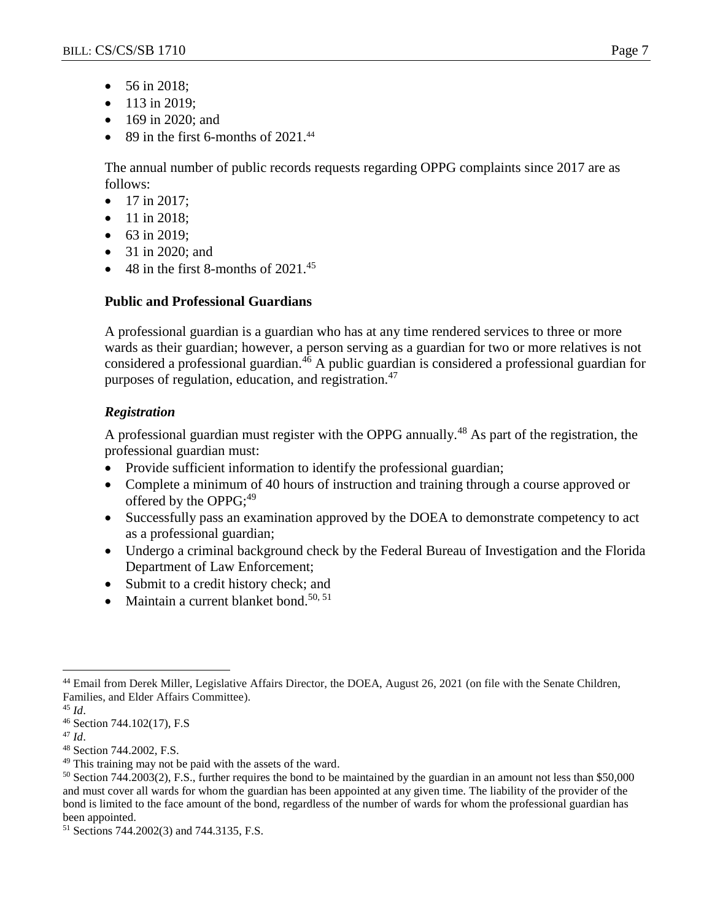- 56 in 2018;
- $\bullet$  113 in 2019;
- 169 in 2020; and
- $\bullet$  89 in the first 6-months of 2021.<sup>44</sup>

The annual number of public records requests regarding OPPG complaints since 2017 are as follows:

- $\bullet$  17 in 2017;
- 11 in 2018;
- 63 in 2019;
- 31 in 2020; and
- $\bullet$  48 in the first 8-months of 2021.<sup>45</sup>

# **Public and Professional Guardians**

A professional guardian is a guardian who has at any time rendered services to three or more wards as their guardian; however, a person serving as a guardian for two or more relatives is not considered a professional guardian.<sup>46</sup> A public guardian is considered a professional guardian for purposes of regulation, education, and registration.<sup>47</sup>

# *Registration*

A professional guardian must register with the OPPG annually.<sup>48</sup> As part of the registration, the professional guardian must:

- Provide sufficient information to identify the professional guardian;
- Complete a minimum of 40 hours of instruction and training through a course approved or offered by the OPPG;<sup>49</sup>
- Successfully pass an examination approved by the DOEA to demonstrate competency to act as a professional guardian;
- Undergo a criminal background check by the Federal Bureau of Investigation and the Florida Department of Law Enforcement;
- Submit to a credit history check; and
- Maintain a current blanket bond.<sup>50, 51</sup>

<sup>45</sup> *Id*.

 $\overline{a}$ 

<sup>47</sup> *Id*.

<sup>44</sup> Email from Derek Miller, Legislative Affairs Director, the DOEA, August 26, 2021 (on file with the Senate Children, Families, and Elder Affairs Committee).

<sup>46</sup> Section 744.102(17), F.S

<sup>48</sup> Section 744.2002, F.S.

<sup>&</sup>lt;sup>49</sup> This training may not be paid with the assets of the ward.

<sup>50</sup> Section 744.2003(2), F.S., further requires the bond to be maintained by the guardian in an amount not less than \$50,000 and must cover all wards for whom the guardian has been appointed at any given time. The liability of the provider of the bond is limited to the face amount of the bond, regardless of the number of wards for whom the professional guardian has been appointed.

<sup>51</sup> Sections 744.2002(3) and 744.3135, F.S.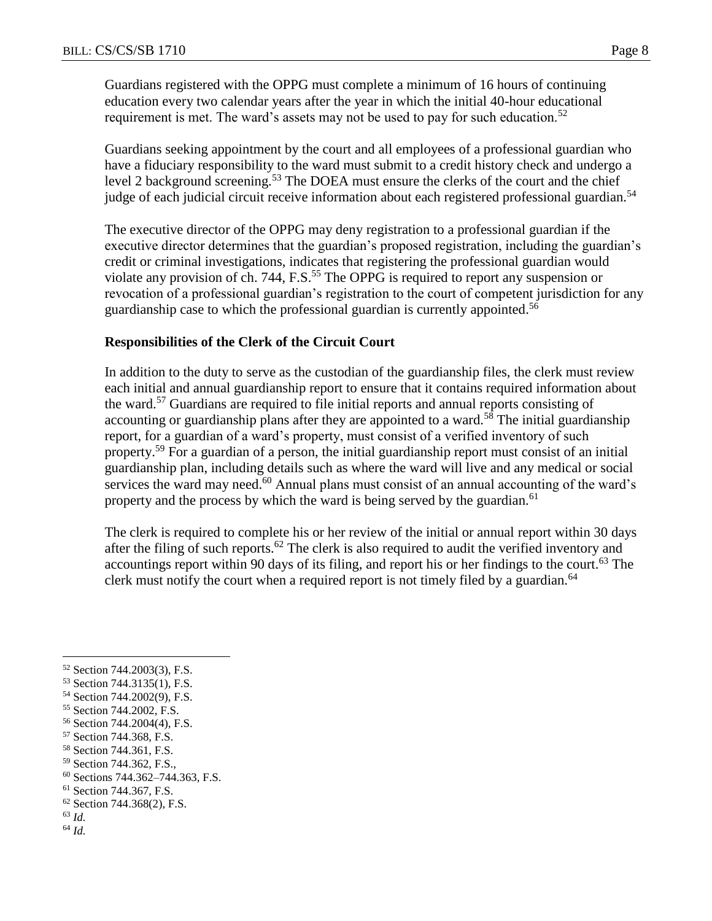Guardians registered with the OPPG must complete a minimum of 16 hours of continuing education every two calendar years after the year in which the initial 40-hour educational requirement is met. The ward's assets may not be used to pay for such education.<sup>52</sup>

Guardians seeking appointment by the court and all employees of a professional guardian who have a fiduciary responsibility to the ward must submit to a credit history check and undergo a level 2 background screening.<sup>53</sup> The DOEA must ensure the clerks of the court and the chief judge of each judicial circuit receive information about each registered professional guardian.<sup>54</sup>

The executive director of the OPPG may deny registration to a professional guardian if the executive director determines that the guardian's proposed registration, including the guardian's credit or criminal investigations, indicates that registering the professional guardian would violate any provision of ch. 744, F.S.<sup>55</sup> The OPPG is required to report any suspension or revocation of a professional guardian's registration to the court of competent jurisdiction for any guardianship case to which the professional guardian is currently appointed.<sup>56</sup>

#### **Responsibilities of the Clerk of the Circuit Court**

In addition to the duty to serve as the custodian of the guardianship files, the clerk must review each initial and annual guardianship report to ensure that it contains required information about the ward.<sup>57</sup> Guardians are required to file initial reports and annual reports consisting of accounting or guardianship plans after they are appointed to a ward.<sup>58</sup> The initial guardianship report, for a guardian of a ward's property, must consist of a verified inventory of such property.<sup>59</sup> For a guardian of a person, the initial guardianship report must consist of an initial guardianship plan, including details such as where the ward will live and any medical or social services the ward may need. $60$  Annual plans must consist of an annual accounting of the ward's property and the process by which the ward is being served by the guardian.<sup>61</sup>

The clerk is required to complete his or her review of the initial or annual report within 30 days after the filing of such reports.<sup>62</sup> The clerk is also required to audit the verified inventory and accountings report within 90 days of its filing, and report his or her findings to the court.<sup>63</sup> The clerk must notify the court when a required report is not timely filed by a guardian.<sup>64</sup>

<sup>63</sup> *Id.*

 $\overline{a}$ 

<sup>64</sup> *Id.*

<sup>52</sup> Section 744.2003(3), F.S.

<sup>53</sup> Section 744.3135(1), F.S.

<sup>54</sup> Section 744.2002(9), F.S.

<sup>55</sup> Section 744.2002, F.S.

<sup>56</sup> Section 744.2004(4), F.S.

<sup>57</sup> Section 744.368, F.S.

<sup>58</sup> Section 744.361, F.S.

<sup>&</sup>lt;sup>59</sup> Section 744.362, F.S.,

<sup>60</sup> Sections 744.362–744.363, F.S.

<sup>61</sup> Section 744.367, F.S.

<sup>62</sup> Section 744.368(2), F.S.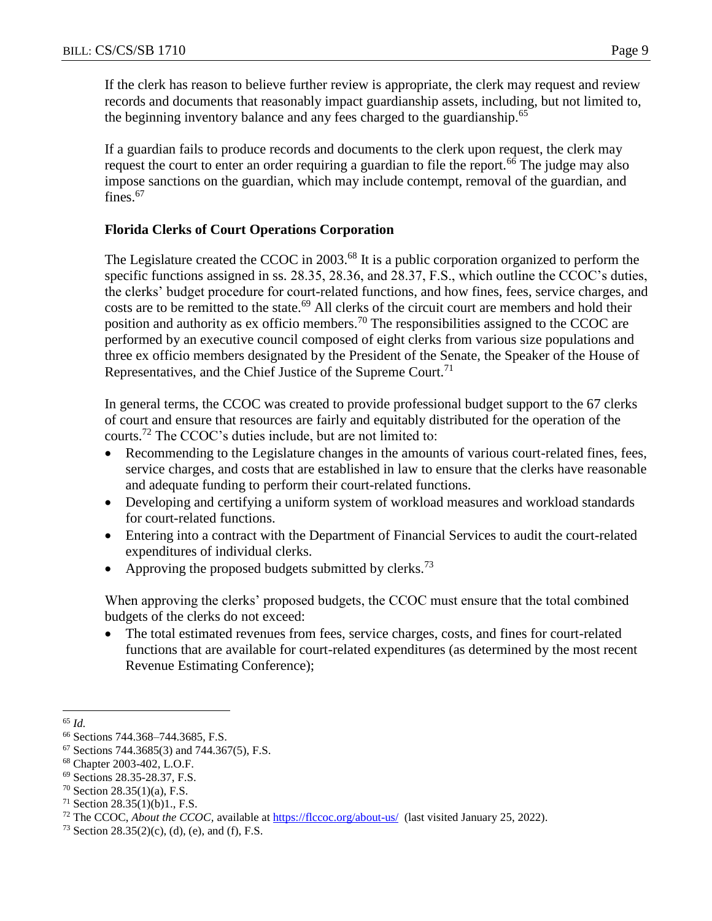If the clerk has reason to believe further review is appropriate, the clerk may request and review records and documents that reasonably impact guardianship assets, including, but not limited to, the beginning inventory balance and any fees charged to the guardianship.<sup>65</sup>

If a guardian fails to produce records and documents to the clerk upon request, the clerk may request the court to enter an order requiring a guardian to file the report.<sup>66</sup> The judge may also impose sanctions on the guardian, which may include contempt, removal of the guardian, and fines.<sup>67</sup>

# **Florida Clerks of Court Operations Corporation**

The Legislature created the CCOC in 2003.<sup>68</sup> It is a public corporation organized to perform the specific functions assigned in ss. 28.35, 28.36, and 28.37, F.S., which outline the CCOC's duties, the clerks' budget procedure for court-related functions, and how fines, fees, service charges, and costs are to be remitted to the state.<sup>69</sup> All clerks of the circuit court are members and hold their position and authority as ex officio members.<sup>70</sup> The responsibilities assigned to the CCOC are performed by an executive council composed of eight clerks from various size populations and three ex officio members designated by the President of the Senate, the Speaker of the House of Representatives, and the Chief Justice of the Supreme Court.<sup>71</sup>

In general terms, the CCOC was created to provide professional budget support to the 67 clerks of court and ensure that resources are fairly and equitably distributed for the operation of the courts.<sup>72</sup> The CCOC's duties include, but are not limited to:

- Recommending to the Legislature changes in the amounts of various court-related fines, fees, service charges, and costs that are established in law to ensure that the clerks have reasonable and adequate funding to perform their court-related functions.
- Developing and certifying a uniform system of workload measures and workload standards for court-related functions.
- Entering into a contract with the Department of Financial Services to audit the court-related expenditures of individual clerks.
- Approving the proposed budgets submitted by clerks.<sup>73</sup>

When approving the clerks' proposed budgets, the CCOC must ensure that the total combined budgets of the clerks do not exceed:

• The total estimated revenues from fees, service charges, costs, and fines for court-related functions that are available for court-related expenditures (as determined by the most recent Revenue Estimating Conference);

 $\overline{a}$ <sup>65</sup> *Id.*

<sup>66</sup> Sections 744.368–744.3685, F.S.

 $67$  Sections 744.3685(3) and 744.367(5), F.S.

<sup>68</sup> Chapter 2003-402, L.O.F.

<sup>69</sup> Sections 28.35-28.37, F.S.

 $70$  Section 28.35(1)(a), F.S.

 $71$  Section 28.35(1)(b)1., F.S.

<sup>&</sup>lt;sup>72</sup> The CCOC, *About the CCOC*, available at<https://flccoc.org/about-us/>(last visited January 25, 2022).

<sup>&</sup>lt;sup>73</sup> Section 28.35(2)(c), (d), (e), and (f), F.S.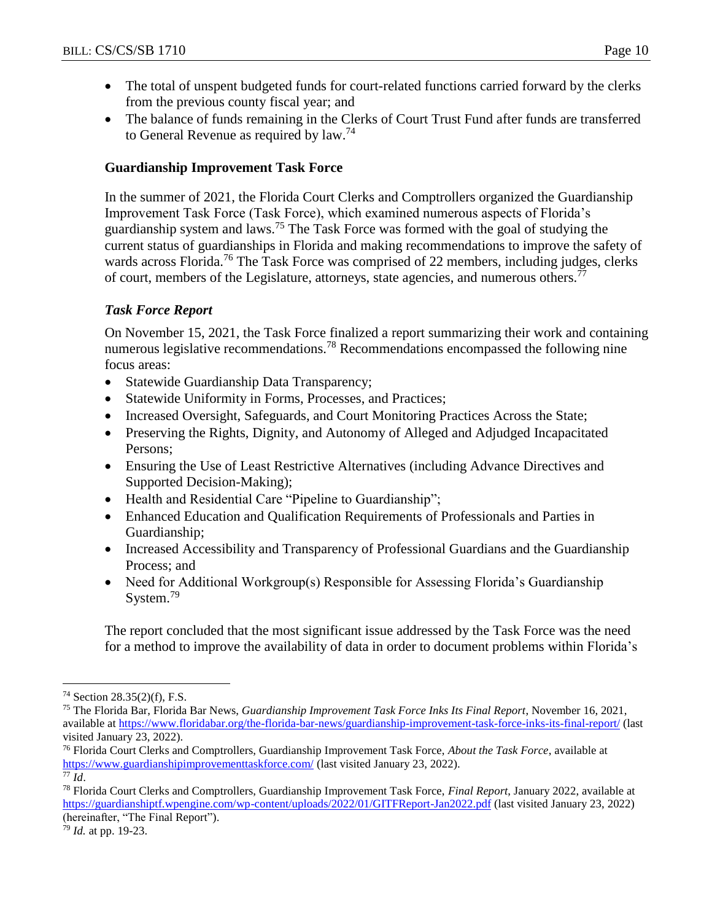- The total of unspent budgeted funds for court-related functions carried forward by the clerks from the previous county fiscal year; and
- The balance of funds remaining in the Clerks of Court Trust Fund after funds are transferred to General Revenue as required by law.<sup>74</sup>

#### **Guardianship Improvement Task Force**

In the summer of 2021, the Florida Court Clerks and Comptrollers organized the Guardianship Improvement Task Force (Task Force), which examined numerous aspects of Florida's guardianship system and laws.<sup>75</sup> The Task Force was formed with the goal of studying the current status of guardianships in Florida and making recommendations to improve the safety of wards across Florida.<sup>76</sup> The Task Force was comprised of 22 members, including judges, clerks of court, members of the Legislature, attorneys, state agencies, and numerous others.<sup> $77$ </sup>

#### *Task Force Report*

On November 15, 2021, the Task Force finalized a report summarizing their work and containing numerous legislative recommendations.<sup>78</sup> Recommendations encompassed the following nine focus areas:

- Statewide Guardianship Data Transparency;
- Statewide Uniformity in Forms, Processes, and Practices;
- Increased Oversight, Safeguards, and Court Monitoring Practices Across the State;
- Preserving the Rights, Dignity, and Autonomy of Alleged and Adjudged Incapacitated Persons;
- Ensuring the Use of Least Restrictive Alternatives (including Advance Directives and Supported Decision-Making);
- Health and Residential Care "Pipeline to Guardianship";
- Enhanced Education and Qualification Requirements of Professionals and Parties in Guardianship;
- Increased Accessibility and Transparency of Professional Guardians and the Guardianship Process; and
- Need for Additional Workgroup(s) Responsible for Assessing Florida's Guardianship System.<sup>79</sup>

The report concluded that the most significant issue addressed by the Task Force was the need for a method to improve the availability of data in order to document problems within Florida's

<sup>77</sup> *Id*.

 $\overline{a}$ 

<sup>79</sup> *Id.* at pp. 19-23.

<sup>74</sup> Section 28.35(2)(f), F.S.

<sup>75</sup> The Florida Bar, Florida Bar News, *Guardianship Improvement Task Force Inks Its Final Report*, November 16, 2021, available at<https://www.floridabar.org/the-florida-bar-news/guardianship-improvement-task-force-inks-its-final-report/> (last visited January 23, 2022).

<sup>76</sup> Florida Court Clerks and Comptrollers, Guardianship Improvement Task Force, *About the Task Force*, available at <https://www.guardianshipimprovementtaskforce.com/> (last visited January 23, 2022).

<sup>78</sup> Florida Court Clerks and Comptrollers, Guardianship Improvement Task Force, *Final Report*, January 2022, available at <https://guardianshiptf.wpengine.com/wp-content/uploads/2022/01/GITFReport-Jan2022.pdf> (last visited January 23, 2022) (hereinafter, "The Final Report").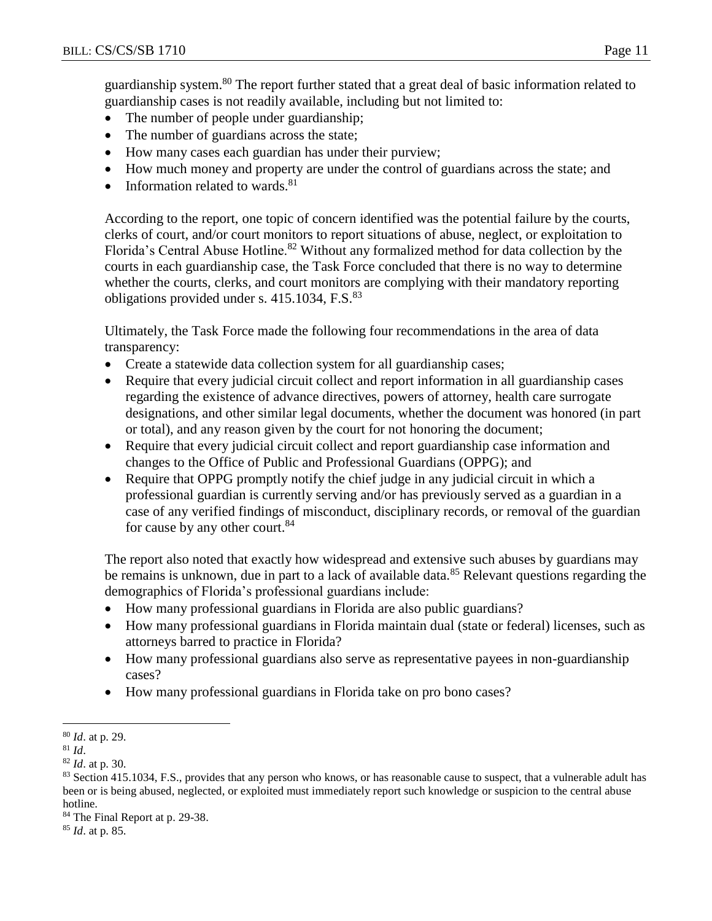guardianship system.<sup>80</sup> The report further stated that a great deal of basic information related to guardianship cases is not readily available, including but not limited to:

- The number of people under guardianship;
- The number of guardians across the state;
- How many cases each guardian has under their purview;
- How much money and property are under the control of guardians across the state; and
- Information related to wards. $81$

According to the report, one topic of concern identified was the potential failure by the courts, clerks of court, and/or court monitors to report situations of abuse, neglect, or exploitation to Florida's Central Abuse Hotline.<sup>82</sup> Without any formalized method for data collection by the courts in each guardianship case, the Task Force concluded that there is no way to determine whether the courts, clerks, and court monitors are complying with their mandatory reporting obligations provided under s. 415.1034, F.S.<sup>83</sup>

Ultimately, the Task Force made the following four recommendations in the area of data transparency:

- Create a statewide data collection system for all guardianship cases;
- Require that every judicial circuit collect and report information in all guardianship cases regarding the existence of advance directives, powers of attorney, health care surrogate designations, and other similar legal documents, whether the document was honored (in part or total), and any reason given by the court for not honoring the document;
- Require that every judicial circuit collect and report guardianship case information and changes to the Office of Public and Professional Guardians (OPPG); and
- Require that OPPG promptly notify the chief judge in any judicial circuit in which a professional guardian is currently serving and/or has previously served as a guardian in a case of any verified findings of misconduct, disciplinary records, or removal of the guardian for cause by any other court.<sup>84</sup>

The report also noted that exactly how widespread and extensive such abuses by guardians may be remains is unknown, due in part to a lack of available data.<sup>85</sup> Relevant questions regarding the demographics of Florida's professional guardians include:

- How many professional guardians in Florida are also public guardians?
- How many professional guardians in Florida maintain dual (state or federal) licenses, such as attorneys barred to practice in Florida?
- How many professional guardians also serve as representative payees in non-guardianship cases?
- How many professional guardians in Florida take on pro bono cases?

<sup>85</sup> *Id*. at p. 85.

 $\overline{a}$ <sup>80</sup> *Id*. at p. 29.

<sup>81</sup> *Id*.

<sup>82</sup> *Id*. at p. 30.

<sup>83</sup> Section 415.1034, F.S., provides that any person who knows, or has reasonable cause to suspect, that a vulnerable adult has been or is being abused, neglected, or exploited must immediately report such knowledge or suspicion to the central abuse hotline.

<sup>&</sup>lt;sup>84</sup> The Final Report at p. 29-38.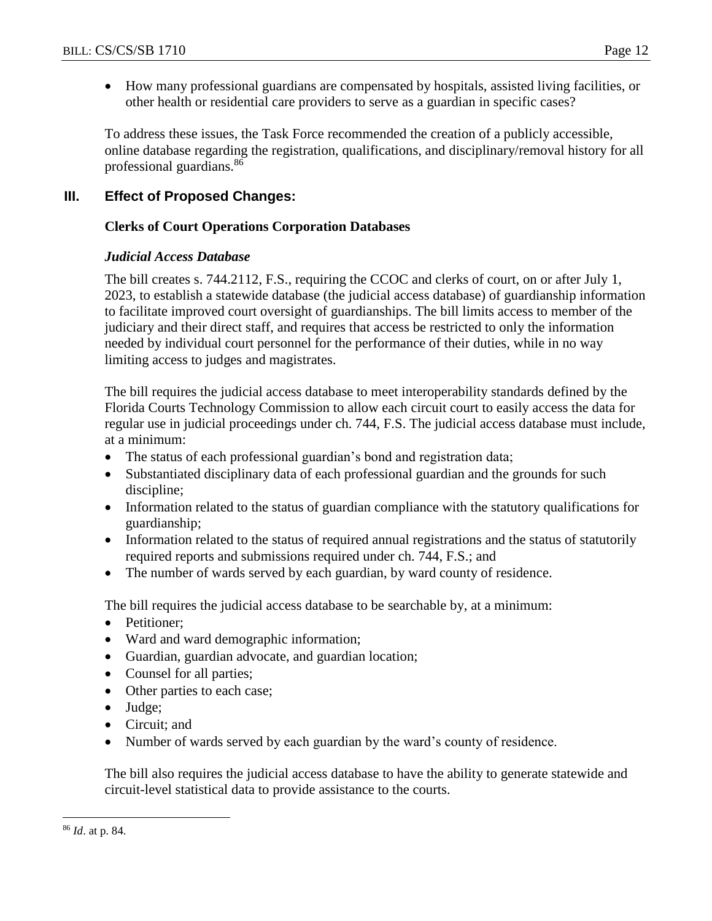- 
- How many professional guardians are compensated by hospitals, assisted living facilities, or other health or residential care providers to serve as a guardian in specific cases?

To address these issues, the Task Force recommended the creation of a publicly accessible, online database regarding the registration, qualifications, and disciplinary/removal history for all professional guardians.<sup>86</sup>

# **III. Effect of Proposed Changes:**

#### **Clerks of Court Operations Corporation Databases**

#### *Judicial Access Database*

The bill creates s. 744.2112, F.S., requiring the CCOC and clerks of court, on or after July 1, 2023, to establish a statewide database (the judicial access database) of guardianship information to facilitate improved court oversight of guardianships. The bill limits access to member of the judiciary and their direct staff, and requires that access be restricted to only the information needed by individual court personnel for the performance of their duties, while in no way limiting access to judges and magistrates.

The bill requires the judicial access database to meet interoperability standards defined by the Florida Courts Technology Commission to allow each circuit court to easily access the data for regular use in judicial proceedings under ch. 744, F.S. The judicial access database must include, at a minimum:

- The status of each professional guardian's bond and registration data;
- Substantiated disciplinary data of each professional guardian and the grounds for such discipline;
- Information related to the status of guardian compliance with the statutory qualifications for guardianship;
- Information related to the status of required annual registrations and the status of statutorily required reports and submissions required under ch. 744, F.S.; and
- The number of wards served by each guardian, by ward county of residence.

The bill requires the judicial access database to be searchable by, at a minimum:

- Petitioner:
- Ward and ward demographic information;
- Guardian, guardian advocate, and guardian location;
- Counsel for all parties;
- Other parties to each case;
- Judge;
- Circuit: and
- Number of wards served by each guardian by the ward's county of residence.

The bill also requires the judicial access database to have the ability to generate statewide and circuit-level statistical data to provide assistance to the courts.

 $\overline{a}$ 

<sup>86</sup> *Id*. at p. 84.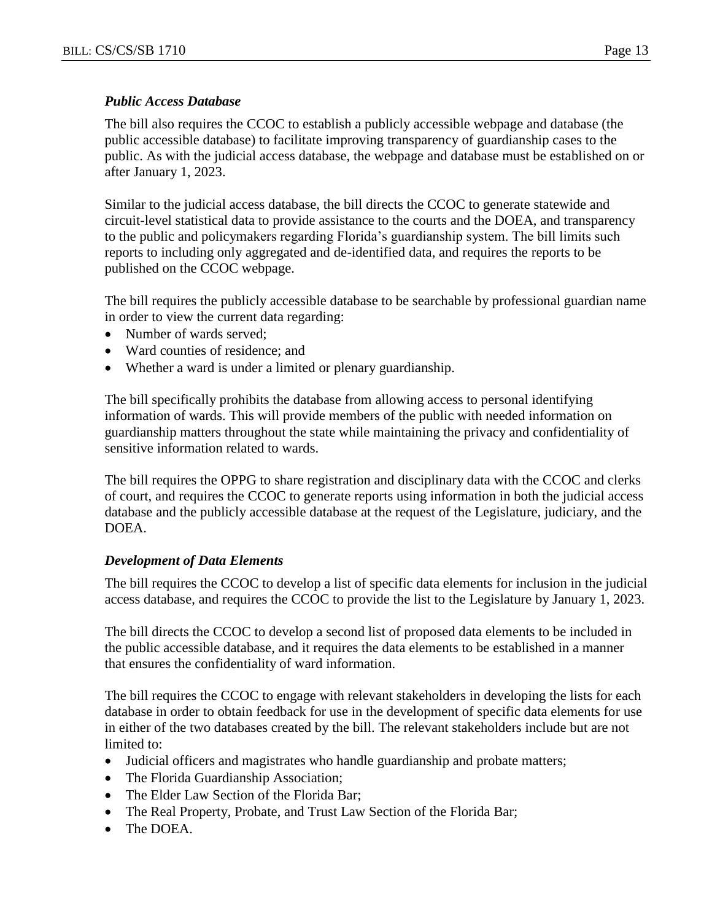#### *Public Access Database*

The bill also requires the CCOC to establish a publicly accessible webpage and database (the public accessible database) to facilitate improving transparency of guardianship cases to the public. As with the judicial access database, the webpage and database must be established on or after January 1, 2023.

Similar to the judicial access database, the bill directs the CCOC to generate statewide and circuit-level statistical data to provide assistance to the courts and the DOEA, and transparency to the public and policymakers regarding Florida's guardianship system. The bill limits such reports to including only aggregated and de-identified data, and requires the reports to be published on the CCOC webpage.

The bill requires the publicly accessible database to be searchable by professional guardian name in order to view the current data regarding:

- Number of wards served:
- Ward counties of residence: and
- Whether a ward is under a limited or plenary guardianship.

The bill specifically prohibits the database from allowing access to personal identifying information of wards. This will provide members of the public with needed information on guardianship matters throughout the state while maintaining the privacy and confidentiality of sensitive information related to wards.

The bill requires the OPPG to share registration and disciplinary data with the CCOC and clerks of court, and requires the CCOC to generate reports using information in both the judicial access database and the publicly accessible database at the request of the Legislature, judiciary, and the DOEA.

#### *Development of Data Elements*

The bill requires the CCOC to develop a list of specific data elements for inclusion in the judicial access database, and requires the CCOC to provide the list to the Legislature by January 1, 2023.

The bill directs the CCOC to develop a second list of proposed data elements to be included in the public accessible database, and it requires the data elements to be established in a manner that ensures the confidentiality of ward information.

The bill requires the CCOC to engage with relevant stakeholders in developing the lists for each database in order to obtain feedback for use in the development of specific data elements for use in either of the two databases created by the bill. The relevant stakeholders include but are not limited to:

- Judicial officers and magistrates who handle guardianship and probate matters;
- The Florida Guardianship Association;
- The Elder Law Section of the Florida Bar:
- The Real Property, Probate, and Trust Law Section of the Florida Bar;
- The DOEA.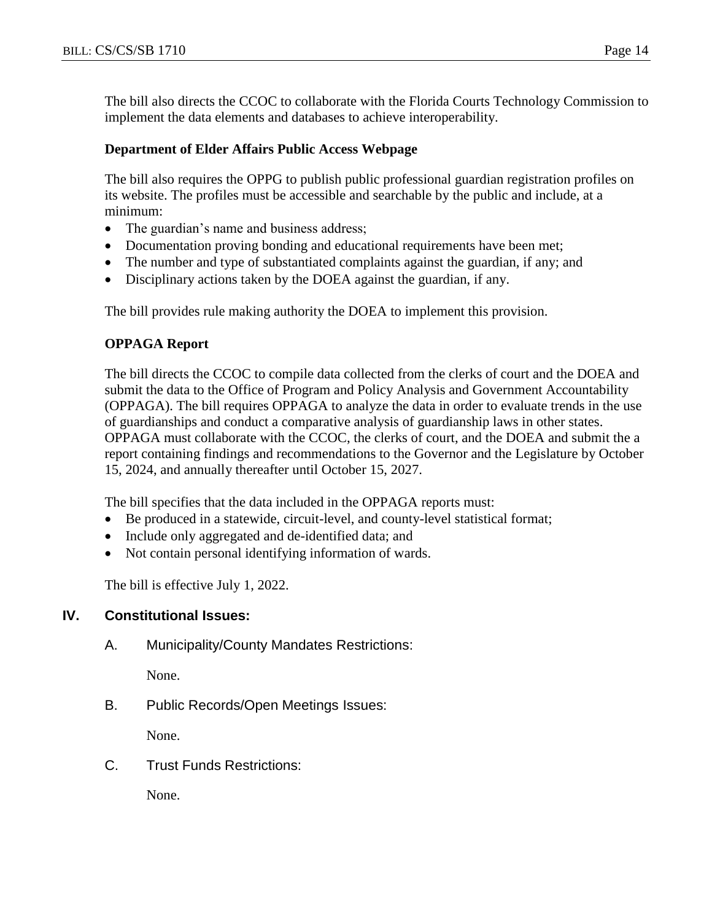The bill also directs the CCOC to collaborate with the Florida Courts Technology Commission to implement the data elements and databases to achieve interoperability.

#### **Department of Elder Affairs Public Access Webpage**

The bill also requires the OPPG to publish public professional guardian registration profiles on its website. The profiles must be accessible and searchable by the public and include, at a minimum:

- The guardian's name and business address;
- Documentation proving bonding and educational requirements have been met;
- The number and type of substantiated complaints against the guardian, if any; and
- Disciplinary actions taken by the DOEA against the guardian, if any.

The bill provides rule making authority the DOEA to implement this provision.

#### **OPPAGA Report**

The bill directs the CCOC to compile data collected from the clerks of court and the DOEA and submit the data to the Office of Program and Policy Analysis and Government Accountability (OPPAGA). The bill requires OPPAGA to analyze the data in order to evaluate trends in the use of guardianships and conduct a comparative analysis of guardianship laws in other states. OPPAGA must collaborate with the CCOC, the clerks of court, and the DOEA and submit the a report containing findings and recommendations to the Governor and the Legislature by October 15, 2024, and annually thereafter until October 15, 2027.

The bill specifies that the data included in the OPPAGA reports must:

- Be produced in a statewide, circuit-level, and county-level statistical format;
- Include only aggregated and de-identified data; and
- Not contain personal identifying information of wards.

The bill is effective July 1, 2022.

#### **IV. Constitutional Issues:**

A. Municipality/County Mandates Restrictions:

None.

B. Public Records/Open Meetings Issues:

None.

C. Trust Funds Restrictions:

None.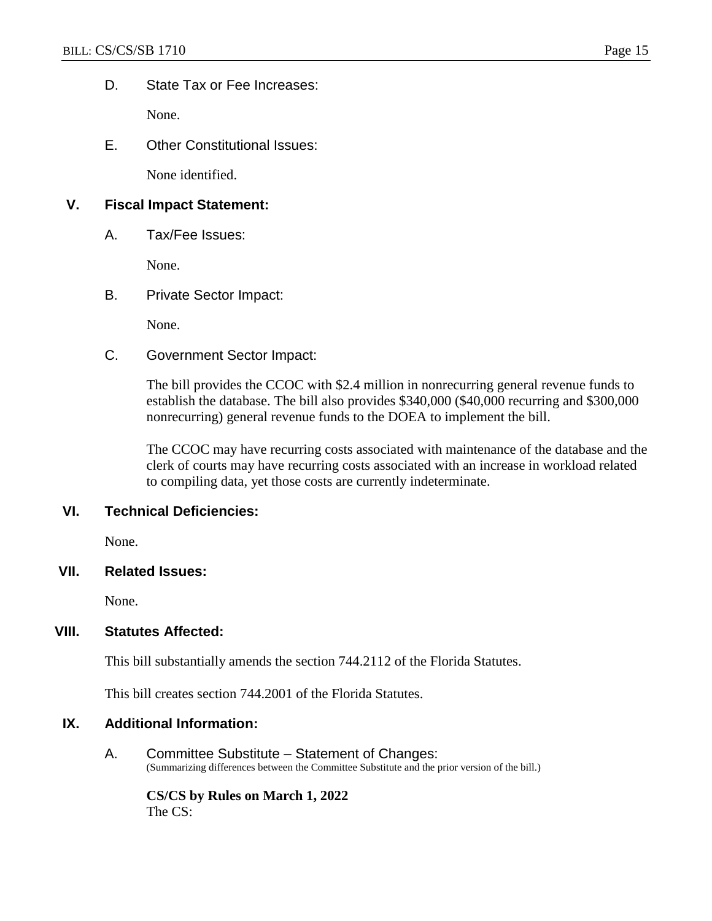D. State Tax or Fee Increases:

None.

E. Other Constitutional Issues:

None identified.

#### **V. Fiscal Impact Statement:**

A. Tax/Fee Issues:

None.

#### B. Private Sector Impact:

None.

C. Government Sector Impact:

The bill provides the CCOC with \$2.4 million in nonrecurring general revenue funds to establish the database. The bill also provides \$340,000 (\$40,000 recurring and \$300,000 nonrecurring) general revenue funds to the DOEA to implement the bill.

The CCOC may have recurring costs associated with maintenance of the database and the clerk of courts may have recurring costs associated with an increase in workload related to compiling data, yet those costs are currently indeterminate.

#### **VI. Technical Deficiencies:**

None.

#### **VII. Related Issues:**

None.

#### **VIII. Statutes Affected:**

This bill substantially amends the section 744.2112 of the Florida Statutes.

This bill creates section 744.2001 of the Florida Statutes.

#### **IX. Additional Information:**

A. Committee Substitute – Statement of Changes: (Summarizing differences between the Committee Substitute and the prior version of the bill.)

**CS/CS by Rules on March 1, 2022** The CS: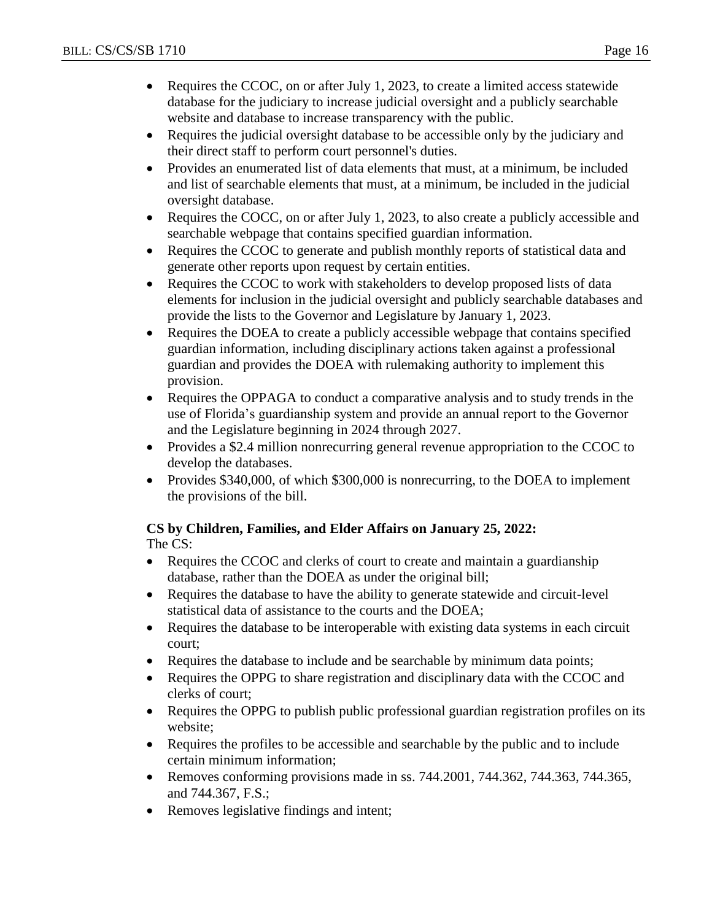- Requires the CCOC, on or after July 1, 2023, to create a limited access statewide database for the judiciary to increase judicial oversight and a publicly searchable website and database to increase transparency with the public.
- Requires the judicial oversight database to be accessible only by the judiciary and their direct staff to perform court personnel's duties.
- Provides an enumerated list of data elements that must, at a minimum, be included and list of searchable elements that must, at a minimum, be included in the judicial oversight database.
- Requires the COCC, on or after July 1, 2023, to also create a publicly accessible and searchable webpage that contains specified guardian information.
- Requires the CCOC to generate and publish monthly reports of statistical data and generate other reports upon request by certain entities.
- Requires the CCOC to work with stakeholders to develop proposed lists of data elements for inclusion in the judicial oversight and publicly searchable databases and provide the lists to the Governor and Legislature by January 1, 2023.
- Requires the DOEA to create a publicly accessible webpage that contains specified guardian information, including disciplinary actions taken against a professional guardian and provides the DOEA with rulemaking authority to implement this provision.
- Requires the OPPAGA to conduct a comparative analysis and to study trends in the use of Florida's guardianship system and provide an annual report to the Governor and the Legislature beginning in 2024 through 2027.
- Provides a \$2.4 million nonrecurring general revenue appropriation to the CCOC to develop the databases.
- Provides \$340,000, of which \$300,000 is nonrecurring, to the DOEA to implement the provisions of the bill.

# **CS by Children, Families, and Elder Affairs on January 25, 2022:**

The CS:

- Requires the CCOC and clerks of court to create and maintain a guardianship database, rather than the DOEA as under the original bill;
- Requires the database to have the ability to generate statewide and circuit-level statistical data of assistance to the courts and the DOEA;
- Requires the database to be interoperable with existing data systems in each circuit court;
- Requires the database to include and be searchable by minimum data points;
- Requires the OPPG to share registration and disciplinary data with the CCOC and clerks of court;
- Requires the OPPG to publish public professional guardian registration profiles on its website;
- Requires the profiles to be accessible and searchable by the public and to include certain minimum information;
- Removes conforming provisions made in ss.  $744.2001$ ,  $744.362$ ,  $744.363$ ,  $744.365$ , and 744.367, F.S.;
- Removes legislative findings and intent;